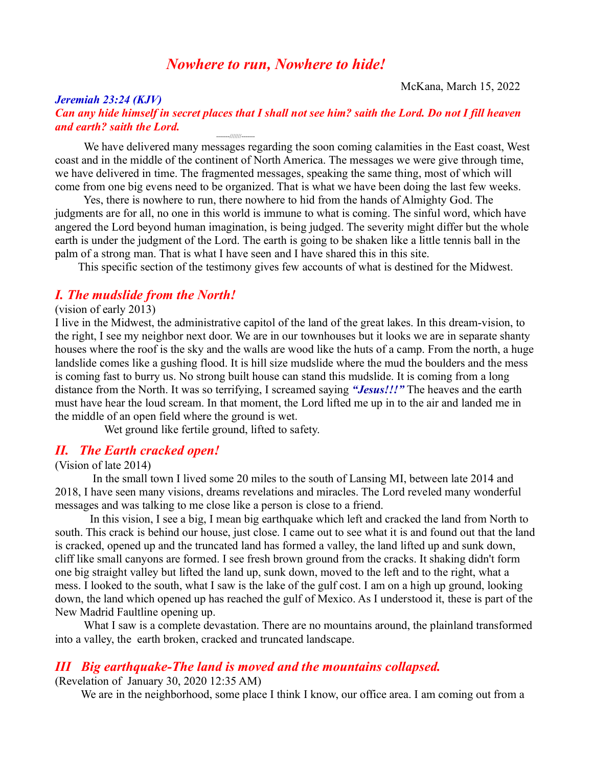# *Nowhere to run, Nowhere to hide!*

McKana, March 15, 2022

#### *Jeremiah 23:24 (KJV) Can any hide himself in secret places that I shall not see him? saith the Lord. Do not I fill heaven and earth? saith the Lord.* -------///////-------

 We have delivered many messages regarding the soon coming calamities in the East coast, West coast and in the middle of the continent of North America. The messages we were give through time, we have delivered in time. The fragmented messages, speaking the same thing, most of which will come from one big evens need to be organized. That is what we have been doing the last few weeks.

 Yes, there is nowhere to run, there nowhere to hid from the hands of Almighty God. The judgments are for all, no one in this world is immune to what is coming. The sinful word, which have angered the Lord beyond human imagination, is being judged. The severity might differ but the whole earth is under the judgment of the Lord. The earth is going to be shaken like a little tennis ball in the palm of a strong man. That is what I have seen and I have shared this in this site.

This specific section of the testimony gives few accounts of what is destined for the Midwest.

## *I. The mudslide from the North!*

#### (vision of early 2013)

I live in the Midwest, the administrative capitol of the land of the great lakes. In this dream-vision, to the right, I see my neighbor next door. We are in our townhouses but it looks we are in separate shanty houses where the roof is the sky and the walls are wood like the huts of a camp. From the north, a huge landslide comes like a gushing flood. It is hill size mudslide where the mud the boulders and the mess is coming fast to burry us. No strong built house can stand this mudslide. It is coming from a long distance from the North. It was so terrifying, I screamed saying *"Jesus!!!"* The heaves and the earth must have hear the loud scream. In that moment, the Lord lifted me up in to the air and landed me in the middle of an open field where the ground is wet.

Wet ground like fertile ground, lifted to safety.

## *II. The Earth cracked open!*

### (Vision of late 2014)

 In the small town I lived some 20 miles to the south of Lansing MI, between late 2014 and 2018, I have seen many visions, dreams revelations and miracles. The Lord reveled many wonderful messages and was talking to me close like a person is close to a friend.

 In this vision, I see a big, I mean big earthquake which left and cracked the land from North to south. This crack is behind our house, just close. I came out to see what it is and found out that the land is cracked, opened up and the truncated land has formed a valley, the land lifted up and sunk down, cliff like small canyons are formed. I see fresh brown ground from the cracks. It shaking didn't form one big straight valley but lifted the land up, sunk down, moved to the left and to the right, what a mess. I looked to the south, what I saw is the lake of the gulf cost. I am on a high up ground, looking down, the land which opened up has reached the gulf of Mexico. As I understood it, these is part of the New Madrid Faultline opening up.

What I saw is a complete devastation. There are no mountains around, the plainland transformed into a valley, the earth broken, cracked and truncated landscape.

## *III Big earthquake-The land is moved and the mountains collapsed.*

(Revelation of January 30, 2020 12:35 AM)

We are in the neighborhood, some place I think I know, our office area. I am coming out from a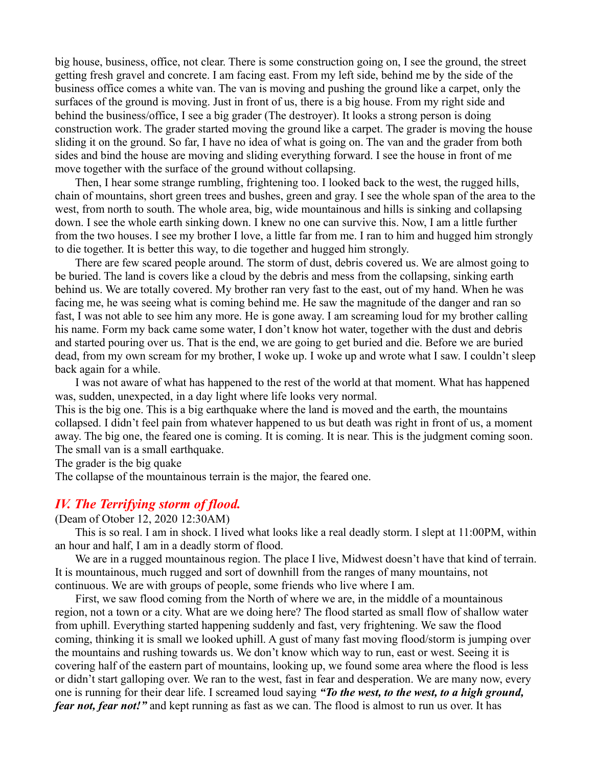big house, business, office, not clear. There is some construction going on, I see the ground, the street getting fresh gravel and concrete. I am facing east. From my left side, behind me by the side of the business office comes a white van. The van is moving and pushing the ground like a carpet, only the surfaces of the ground is moving. Just in front of us, there is a big house. From my right side and behind the business/office, I see a big grader (The destroyer). It looks a strong person is doing construction work. The grader started moving the ground like a carpet. The grader is moving the house sliding it on the ground. So far, I have no idea of what is going on. The van and the grader from both sides and bind the house are moving and sliding everything forward. I see the house in front of me move together with the surface of the ground without collapsing.

 Then, I hear some strange rumbling, frightening too. I looked back to the west, the rugged hills, chain of mountains, short green trees and bushes, green and gray. I see the whole span of the area to the west, from north to south. The whole area, big, wide mountainous and hills is sinking and collapsing down. I see the whole earth sinking down. I knew no one can survive this. Now, I am a little further from the two houses. I see my brother I love, a little far from me. I ran to him and hugged him strongly to die together. It is better this way, to die together and hugged him strongly.

 There are few scared people around. The storm of dust, debris covered us. We are almost going to be buried. The land is covers like a cloud by the debris and mess from the collapsing, sinking earth behind us. We are totally covered. My brother ran very fast to the east, out of my hand. When he was facing me, he was seeing what is coming behind me. He saw the magnitude of the danger and ran so fast, I was not able to see him any more. He is gone away. I am screaming loud for my brother calling his name. Form my back came some water, I don't know hot water, together with the dust and debris and started pouring over us. That is the end, we are going to get buried and die. Before we are buried dead, from my own scream for my brother, I woke up. I woke up and wrote what I saw. I couldn't sleep back again for a while.

 I was not aware of what has happened to the rest of the world at that moment. What has happened was, sudden, unexpected, in a day light where life looks very normal.

This is the big one. This is a big earthquake where the land is moved and the earth, the mountains collapsed. I didn't feel pain from whatever happened to us but death was right in front of us, a moment away. The big one, the feared one is coming. It is coming. It is near. This is the judgment coming soon. The small van is a small earthquake.

The grader is the big quake

The collapse of the mountainous terrain is the major, the feared one.

### *IV. The Terrifying storm of flood.*

#### (Deam of Otober 12, 2020 12:30AM)

 This is so real. I am in shock. I lived what looks like a real deadly storm. I slept at 11:00PM, within an hour and half, I am in a deadly storm of flood.

We are in a rugged mountainous region. The place I live, Midwest doesn't have that kind of terrain. It is mountainous, much rugged and sort of downhill from the ranges of many mountains, not continuous. We are with groups of people, some friends who live where I am.

 First, we saw flood coming from the North of where we are, in the middle of a mountainous region, not a town or a city. What are we doing here? The flood started as small flow of shallow water from uphill. Everything started happening suddenly and fast, very frightening. We saw the flood coming, thinking it is small we looked uphill. A gust of many fast moving flood/storm is jumping over the mountains and rushing towards us. We don't know which way to run, east or west. Seeing it is covering half of the eastern part of mountains, looking up, we found some area where the flood is less or didn't start galloping over. We ran to the west, fast in fear and desperation. We are many now, every one is running for their dear life. I screamed loud saying *"To the west, to the west, to a high ground, fear not, fear not!"* and kept running as fast as we can. The flood is almost to run us over. It has